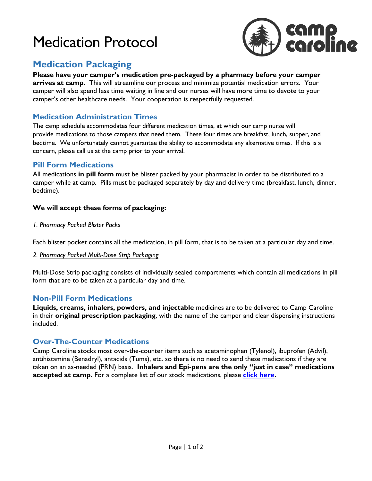# Medication Protocol



# **Medication Packaging**

**Please have your camper's medication pre-packaged by a pharmacy before your camper arrives at camp.** This will streamline our process and minimize potential medication errors. Your camper will also spend less time waiting in line and our nurses will have more time to devote to your camper's other healthcare needs. Your cooperation is respectfully requested.

### **Medication Administration Times**

The camp schedule accommodates four different medication times, at which our camp nurse will provide medications to those campers that need them. These four times are breakfast, lunch, supper, and bedtime. We unfortunately cannot guarantee the ability to accommodate any alternative times. If this is a concern, please call us at the camp prior to your arrival.

#### **Pill Form Medications**

All medications **in pill form** must be blister packed by your pharmacist in order to be distributed to a camper while at camp. Pills must be packaged separately by day and delivery time (breakfast, lunch, dinner, bedtime).

#### **We will accept these forms of packaging:**

*1. Pharmacy Packed Blister Packs*

Each blister pocket contains all the medication, in pill form, that is to be taken at a particular day and time.

#### *2. Pharmacy Packed Multi-Dose Strip Packaging*

Multi-Dose Strip packaging consists of individually sealed compartments which contain all medications in pill form that are to be taken at a particular day and time.

#### **Non-Pill Form Medications**

**Liquids, creams, inhalers, powders, and injectable** medicines are to be delivered to Camp Caroline in their **original prescription packaging**, with the name of the camper and clear dispensing instructions included.

#### **Over-The-Counter Medications**

Camp Caroline stocks most over-the-counter items such as acetaminophen (Tylenol), ibuprofen (Advil), antihistamine (Benadryl), antacids (Tums), etc. so there is no need to send these medications if they are taken on an as-needed (PRN) basis. **Inhalers and Epi-pens are the only "just in case" medications accepted at camp.** For a complete list of our stock medications, please **[click here.](https://www.campcaroline.ab.ca/files/campcaroline/Waivers/StockMedsListforWaiver.pdf)**